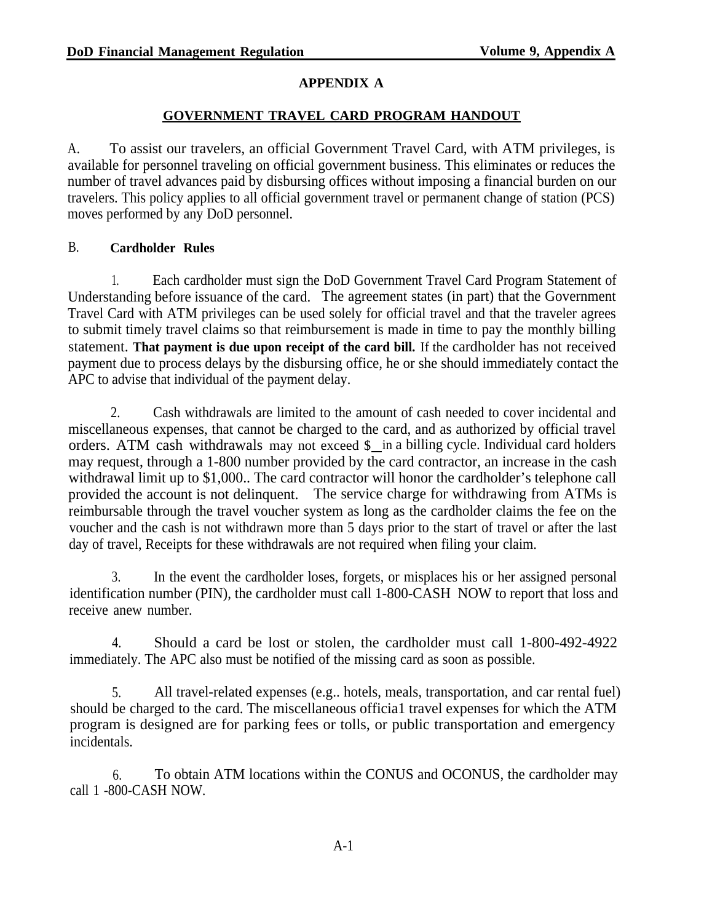# **APPENDIX A**

## **GOVERNMENT TRAVEL CARD PROGRAM HANDOUT**

A. To assist our travelers, an official Government Travel Card, with ATM privileges, is available for personnel traveling on official government business. This eliminates or reduces the number of travel advances paid by disbursing offices without imposing a financial burden on our travelers. This policy applies to all official government travel or permanent change of station (PCS) moves performed by any DoD personnel.

## B. **Cardholder Rules**

1. Each cardholder must sign the DoD Government Travel Card Program Statement of Understanding before issuance of the card. The agreement states (in part) that the Government Travel Card with ATM privileges can be used solely for official travel and that the traveler agrees to submit timely travel claims so that reimbursement is made in time to pay the monthly billing statement. **That payment is due upon receipt of the card bill.** If the cardholder has not received payment due to process delays by the disbursing office, he or she should immediately contact the APC to advise that individual of the payment delay.

2. Cash withdrawals are limited to the amount of cash needed to cover incidental and miscellaneous expenses, that cannot be charged to the card, and as authorized by official travel orders. ATM cash withdrawals may not exceed \$ in a billing cycle. Individual card holders may request, through a 1-800 number provided by the card contractor, an increase in the cash withdrawal limit up to \$1,000.. The card contractor will honor the cardholder's telephone call provided the account is not delinquent. The service charge for withdrawing from ATMs is reimbursable through the travel voucher system as long as the cardholder claims the fee on the voucher and the cash is not withdrawn more than 5 days prior to the start of travel or after the last day of travel, Receipts for these withdrawals are not required when filing your claim.

3. In the event the cardholder loses, forgets, or misplaces his or her assigned personal identification number (PIN), the cardholder must call 1-800-CASH NOW to report that loss and receive anew number.

4. Should a card be lost or stolen, the cardholder must call 1-800-492-4922 immediately. The APC also must be notified of the missing card as soon as possible.

5. All travel-related expenses (e.g.. hotels, meals, transportation, and car rental fuel) should be charged to the card. The miscellaneous officia1 travel expenses for which the ATM program is designed are for parking fees or tolls, or public transportation and emergency incidentals.

6. To obtain ATM locations within the CONUS and OCONUS, the cardholder may call 1 -800-CASH NOW.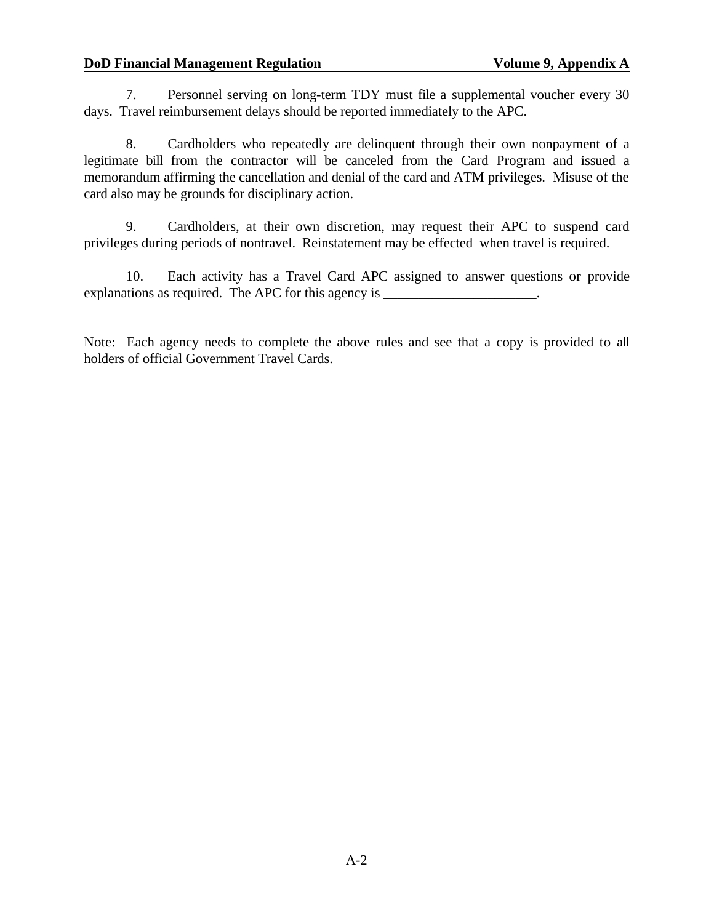#### **DoD Financial Management Regulation Volume 9, Appendix A**

7. Personnel serving on long-term TDY must file a supplemental voucher every 30 days. Travel reimbursement delays should be reported immediately to the APC.

8. Cardholders who repeatedly are delinquent through their own nonpayment of a legitimate bill from the contractor will be canceled from the Card Program and issued a memorandum affirming the cancellation and denial of the card and ATM privileges. Misuse of the card also may be grounds for disciplinary action.

9. Cardholders, at their own discretion, may request their APC to suspend card privileges during periods of nontravel. Reinstatement may be effected when travel is required.

10. Each activity has a Travel Card APC assigned to answer questions or provide explanations as required. The APC for this agency is \_\_\_\_\_\_\_\_\_\_\_\_\_\_\_\_\_\_\_\_\_.

Note: Each agency needs to complete the above rules and see that a copy is provided to all holders of official Government Travel Cards.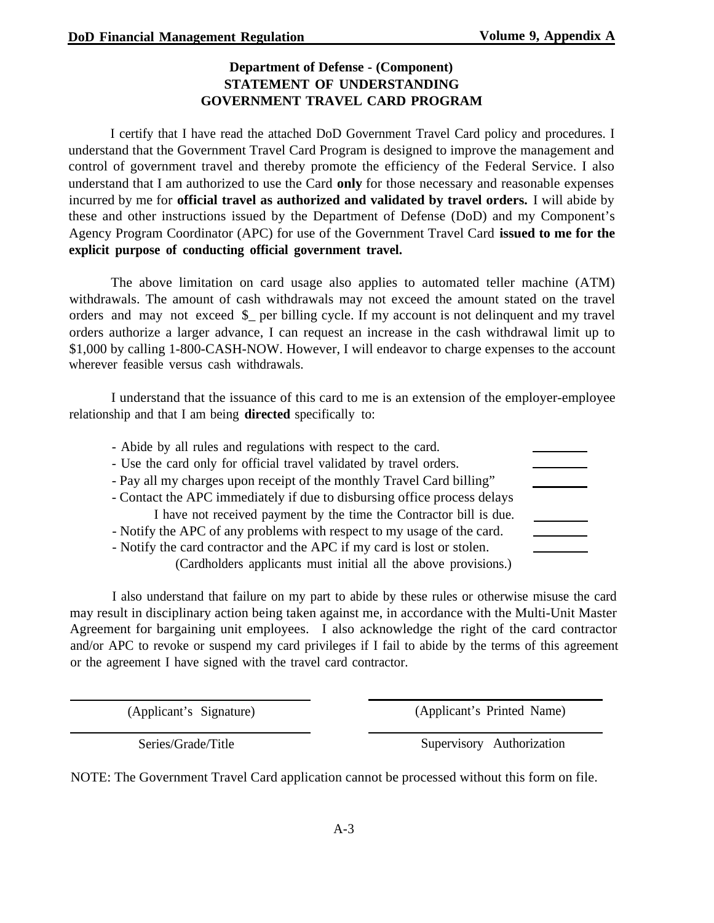## **Department of Defense - (Component) STATEMENT OF UNDERSTANDING GOVERNMENT TRAVEL CARD PROGRAM**

I certify that I have read the attached DoD Government Travel Card policy and procedures. I understand that the Government Travel Card Program is designed to improve the management and control of government travel and thereby promote the efficiency of the Federal Service. I also understand that I am authorized to use the Card **only** for those necessary and reasonable expenses incurred by me for **official travel as authorized and validated by travel orders.** I will abide by these and other instructions issued by the Department of Defense (DoD) and my Component's Agency Program Coordinator (APC) for use of the Government Travel Card **issued to me for the explicit purpose of conducting official government travel.**

The above limitation on card usage also applies to automated teller machine (ATM) withdrawals. The amount of cash withdrawals may not exceed the amount stated on the travel orders and may not exceed \$\_ per billing cycle. If my account is not delinquent and my travel orders authorize a larger advance, I can request an increase in the cash withdrawal limit up to \$1,000 by calling 1-800-CASH-NOW. However, I will endeavor to charge expenses to the account wherever feasible versus cash withdrawals.

I understand that the issuance of this card to me is an extension of the employer-employee relationship and that I am being **directed** specifically to:

| - Abide by all rules and regulations with respect to the card.<br>- Use the card only for official travel validated by travel orders. |  |
|---------------------------------------------------------------------------------------------------------------------------------------|--|
| - Pay all my charges upon receipt of the monthly Travel Card billing"                                                                 |  |
| - Contact the APC immediately if due to disbursing office process delays                                                              |  |
| I have not received payment by the time the Contractor bill is due.                                                                   |  |
| - Notify the APC of any problems with respect to my usage of the card.                                                                |  |
| - Notify the card contractor and the APC if my card is lost or stolen.                                                                |  |
| (Cardholders applicants must initial all the above provisions.)                                                                       |  |

I also understand that failure on my part to abide by these rules or otherwise misuse the card may result in disciplinary action being taken against me, in accordance with the Multi-Unit Master Agreement for bargaining unit employees. I also acknowledge the right of the card contractor and/or APC to revoke or suspend my card privileges if I fail to abide by the terms of this agreement or the agreement I have signed with the travel card contractor.

(Applicant's Signature) (Applicant's Printed Name)

Series/Grade/Title Supervisory Authorization

NOTE: The Government Travel Card application cannot be processed without this form on file.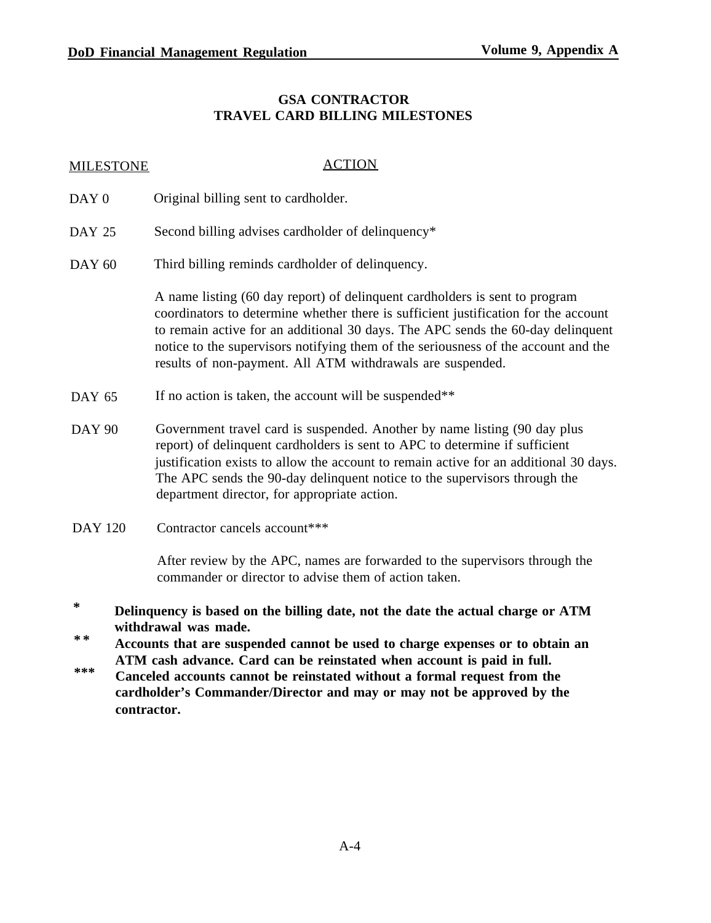## **GSA CONTRACTOR TRAVEL CARD BILLING MILESTONES**

#### MILESTONE ACTION

- DAY<sub>0</sub> Original billing sent to cardholder.
- DAY 25 Second billing advises cardholder of delinquency\*
- DAY 60 Third billing reminds cardholder of delinquency.

A name listing (60 day report) of delinquent cardholders is sent to program coordinators to determine whether there is sufficient justification for the account to remain active for an additional 30 days. The APC sends the 60-day delinquent notice to the supervisors notifying them of the seriousness of the account and the results of non-payment. All ATM withdrawals are suspended.

- DAY 65 If no action is taken, the account will be suspended \*\*
- DAY 90 Government travel card is suspended. Another by name listing (90 day plus report) of delinquent cardholders is sent to APC to determine if sufficient justification exists to allow the account to remain active for an additional 30 days. The APC sends the 90-day delinquent notice to the supervisors through the department director, for appropriate action.
- DAY 120 Contractor cancels account\*\*\*

After review by the APC, names are forwarded to the supervisors through the commander or director to advise them of action taken.

- **\* Delinquency is based on the billing date, not the date the actual charge or ATM withdrawal was made.**
- **\* \* Accounts that are suspended cannot be used to charge expenses or to obtain an ATM cash advance. Card can be reinstated when account is paid in full.**
- **\*\*\* Canceled accounts cannot be reinstated without a formal request from the cardholder's Commander/Director and may or may not be approved by the contractor.**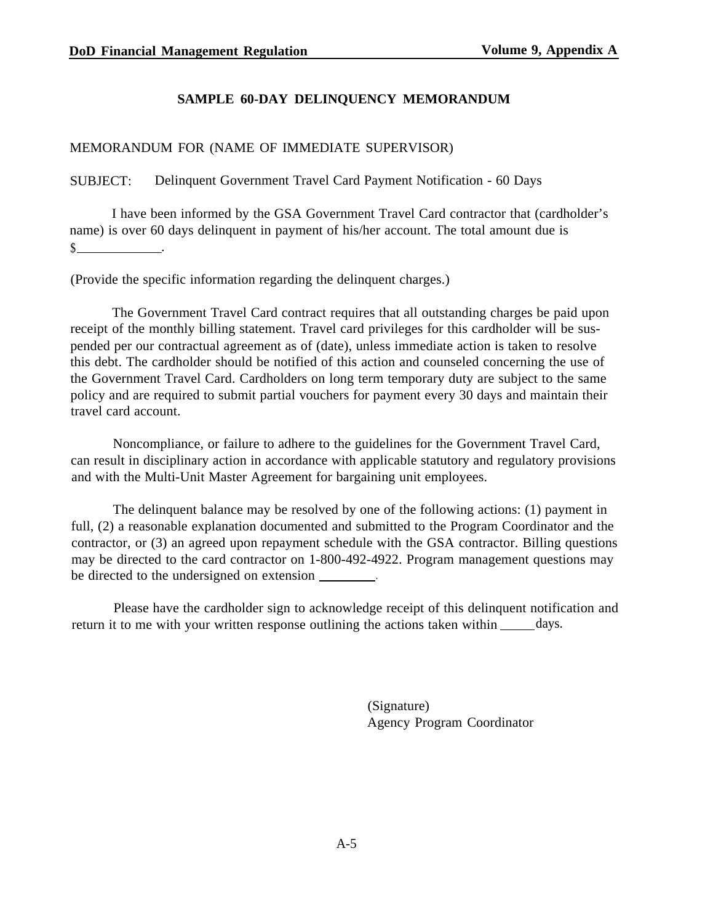## **SAMPLE 60-DAY DELINQUENCY MEMORANDUM**

# MEMORANDUM FOR (NAME OF IMMEDIATE SUPERVISOR)

# SUBJECT: Delinquent Government Travel Card Payment Notification - 60 Days

I have been informed by the GSA Government Travel Card contractor that (cardholder's name) is over 60 days delinquent in payment of his/her account. The total amount due is  $\frac{1}{2}$ 

(Provide the specific information regarding the delinquent charges.)

The Government Travel Card contract requires that all outstanding charges be paid upon receipt of the monthly billing statement. Travel card privileges for this cardholder will be suspended per our contractual agreement as of (date), unless immediate action is taken to resolve this debt. The cardholder should be notified of this action and counseled concerning the use of the Government Travel Card. Cardholders on long term temporary duty are subject to the same policy and are required to submit partial vouchers for payment every 30 days and maintain their travel card account.

Noncompliance, or failure to adhere to the guidelines for the Government Travel Card, can result in disciplinary action in accordance with applicable statutory and regulatory provisions and with the Multi-Unit Master Agreement for bargaining unit employees.

The delinquent balance may be resolved by one of the following actions: (1) payment in full, (2) a reasonable explanation documented and submitted to the Program Coordinator and the contractor, or (3) an agreed upon repayment schedule with the GSA contractor. Billing questions may be directed to the card contractor on 1-800-492-4922. Program management questions may be directed to the undersigned on extension \_\_\_\_\_\_\_.

Please have the cardholder sign to acknowledge receipt of this delinquent notification and return it to me with your written response outlining the actions taken within  $\_\_\_\_$  days.

> (Signature) Agency Program Coordinator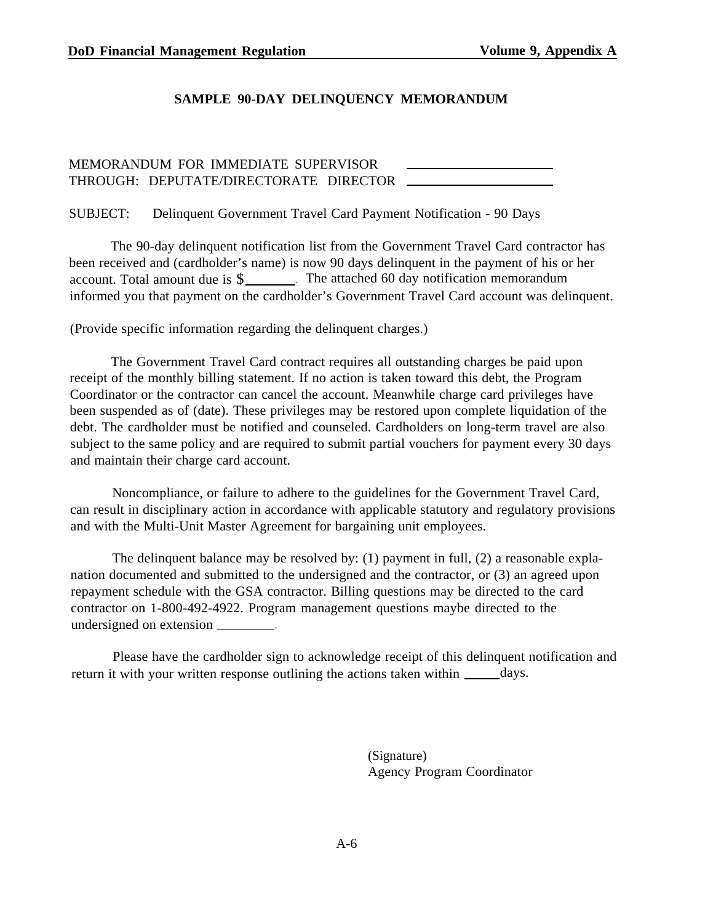#### **SAMPLE 90-DAY DELINQUENCY MEMORANDUM**

# MEMORANDUM FOR IMMEDIATE SUPERVISOR THROUGH: DEPUTATE/DIRECTORATE DIRECTOR

SUBJECT: Delinquent Government Travel Card Payment Notification - 90 Days

The 90-day delinquent notification list from the Government Travel Card contractor has been received and (cardholder's name) is now 90 days delinquent in the payment of his or her account. Total amount due is \$\_\_\_\_\_\_\_. The attached 60 day notification memorandum informed you that payment on the cardholder's Government Travel Card account was delinquent.

(Provide specific information regarding the delinquent charges.)

The Government Travel Card contract requires all outstanding charges be paid upon receipt of the monthly billing statement. If no action is taken toward this debt, the Program Coordinator or the contractor can cancel the account. Meanwhile charge card privileges have been suspended as of (date). These privileges may be restored upon complete liquidation of the debt. The cardholder must be notified and counseled. Cardholders on long-term travel are also subject to the same policy and are required to submit partial vouchers for payment every 30 days and maintain their charge card account.

Noncompliance, or failure to adhere to the guidelines for the Government Travel Card, can result in disciplinary action in accordance with applicable statutory and regulatory provisions and with the Multi-Unit Master Agreement for bargaining unit employees.

The delinquent balance may be resolved by: (1) payment in full, (2) a reasonable explanation documented and submitted to the undersigned and the contractor, or (3) an agreed upon repayment schedule with the GSA contractor. Billing questions may be directed to the card contractor on 1-800-492-4922. Program management questions maybe directed to the undersigned on extension \_\_\_\_\_\_\_\_.

Please have the cardholder sign to acknowledge receipt of this delinquent notification and return it with your written response outlining the actions taken within  $\_\_\_\_days$ .

> (Signature) Agency Program Coordinator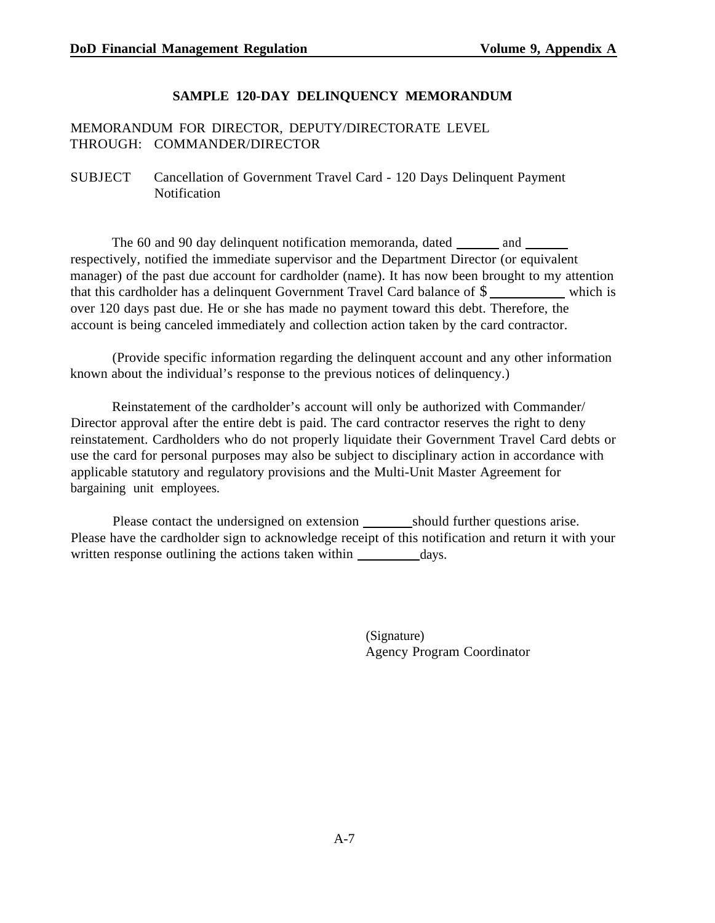## **SAMPLE 120-DAY DELINQUENCY MEMORANDUM**

## MEMORANDUM FOR DIRECTOR, DEPUTY/DIRECTORATE LEVEL THROUGH: COMMANDER/DIRECTOR

#### SUBJECT Cancellation of Government Travel Card - 120 Days Delinquent Payment **Notification**

The 60 and 90 day delinquent notification memoranda, dated \_\_\_\_\_\_\_ and \_\_\_\_\_\_ respectively, notified the immediate supervisor and the Department Director (or equivalent manager) of the past due account for cardholder (name). It has now been brought to my attention that this cardholder has a delinquent Government Travel Card balance of  $\frac{1}{2}$  which is over 120 days past due. He or she has made no payment toward this debt. Therefore, the account is being canceled immediately and collection action taken by the card contractor.

(Provide specific information regarding the delinquent account and any other information known about the individual's response to the previous notices of delinquency.)

Reinstatement of the cardholder's account will only be authorized with Commander/ Director approval after the entire debt is paid. The card contractor reserves the right to deny reinstatement. Cardholders who do not properly liquidate their Government Travel Card debts or use the card for personal purposes may also be subject to disciplinary action in accordance with applicable statutory and regulatory provisions and the Multi-Unit Master Agreement for bargaining unit employees.

Please contact the undersigned on extension should further questions arise. Please have the cardholder sign to acknowledge receipt of this notification and return it with your written response outlining the actions taken within \_\_\_\_\_\_\_\_\_\_ days.

> (Signature) Agency Program Coordinator